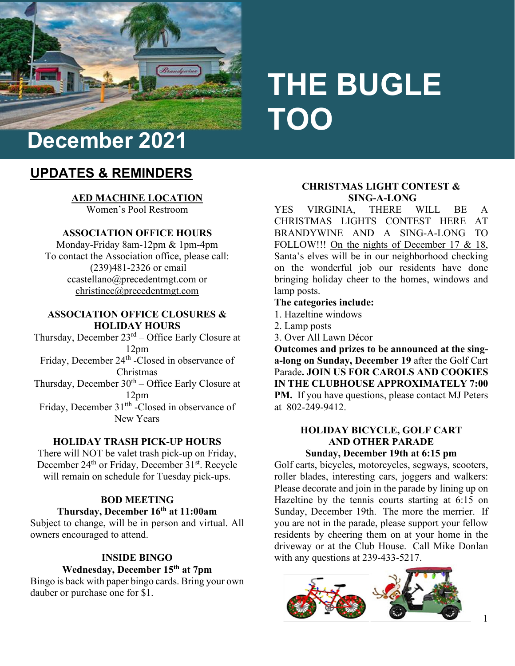

# **THE BUGLE TOO**

# **UPDATES & REMINDERS**

**AED MACHINE LOCATION** Women's Pool Restroom

#### **ASSOCIATION OFFICE HOURS**

Monday-Friday 8am-12pm & 1pm-4pm To contact the Association office, please call: (239)481-2326 or email [ccastellano@precedentmgt.com](mailto:ccastellano@precedentmgt.com) or christinec@precedentmgt.com

#### **ASSOCIATION OFFICE CLOSURES & HOLIDAY HOURS**

Thursday, December 23rd – Office Early Closure at 12pm Friday, December 24<sup>th</sup> -Closed in observance of Christmas Thursday, December  $30<sup>th</sup> -$  Office Early Closure at 12pm Friday, December 31<sup>th</sup> -Closed in observance of New Years

#### **HOLIDAY TRASH PICK-UP HOURS**

There will NOT be valet trash pick-up on Friday, December 24<sup>th</sup> or Friday, December 31<sup>st</sup>. Recycle will remain on schedule for Tuesday pick-ups.

#### **BOD MEETING Thursday, December 16th at 11:00am**

Subject to change, will be in person and virtual. All owners encouraged to attend.

### **INSIDE BINGO Wednesday, December 15th at 7pm**

Bingo is back with paper bingo cards. Bring your own dauber or purchase one for \$1.

#### **CHRISTMAS LIGHT CONTEST & SING-A-LONG**

YES VIRGINIA, THERE WILL BE A CHRISTMAS LIGHTS CONTEST HERE AT BRANDYWINE AND A SING-A-LONG TO FOLLOW!!! On the nights of December 17 & 18, Santa's elves will be in our neighborhood checking on the wonderful job our residents have done bringing holiday cheer to the homes, windows and lamp posts.

#### **The categories include:**

- 1. Hazeltine windows
- 2. Lamp posts
- 3. Over All Lawn Décor

**Outcomes and prizes to be announced at the singa-long on Sunday, December 19** after the Golf Cart Parade**. JOIN US FOR CAROLS AND COOKIES IN THE CLUBHOUSE APPROXIMATELY 7:00 PM.** If you have questions, please contact MJ Peters at 802-249-9412.

#### **HOLIDAY BICYCLE, GOLF CART AND OTHER PARADE Sunday, December 19th at 6:15 pm**

Golf carts, bicycles, motorcycles, segways, scooters, roller blades, interesting cars, joggers and walkers: Please decorate and join in the parade by lining up on Hazeltine by the tennis courts starting at 6:15 on Sunday, December 19th. The more the merrier. If you are not in the parade, please support your fellow residents by cheering them on at your home in the driveway or at the Club House. Call Mike Donlan with any questions at 239-433-5217.